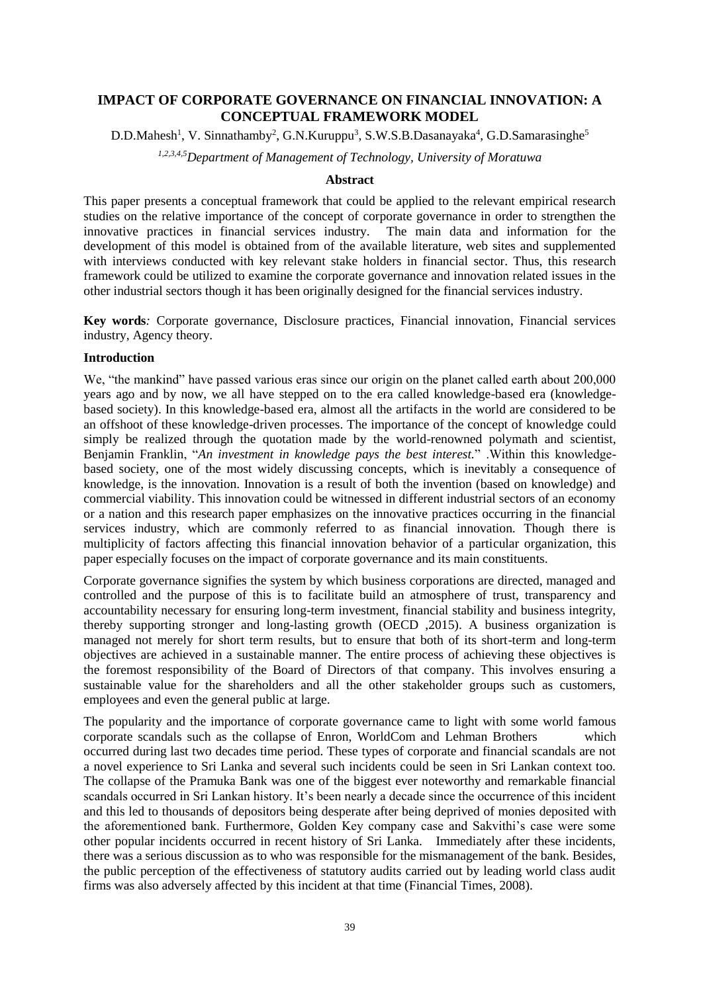# **IMPACT OF CORPORATE GOVERNANCE ON FINANCIAL INNOVATION: A CONCEPTUAL FRAMEWORK MODEL**

D.D.Mahesh<sup>1</sup>, V. Sinnathamby<sup>2</sup>, G.N.Kuruppu<sup>3</sup>, S.W.S.B.Dasanayaka<sup>4</sup>, G.D.Samarasinghe<sup>5</sup>

*1,2,3,4,5Department of Management of Technology, University of Moratuwa*

### **Abstract**

This paper presents a conceptual framework that could be applied to the relevant empirical research studies on the relative importance of the concept of corporate governance in order to strengthen the innovative practices in financial services industry. The main data and information for the development of this model is obtained from of the available literature, web sites and supplemented with interviews conducted with key relevant stake holders in financial sector. Thus, this research framework could be utilized to examine the corporate governance and innovation related issues in the other industrial sectors though it has been originally designed for the financial services industry.

**Key words***:* Corporate governance, Disclosure practices, Financial innovation, Financial services industry, Agency theory.

#### **Introduction**

We, "the mankind" have passed various eras since our origin on the planet called earth about 200,000 years ago and by now, we all have stepped on to the era called knowledge-based era (knowledgebased society). In this knowledge-based era, almost all the artifacts in the world are considered to be an offshoot of these knowledge-driven processes. The importance of the concept of knowledge could simply be realized through the quotation made by the world-renowned polymath and scientist, Benjamin Franklin, "*An investment in knowledge pays the best interest.*" .Within this knowledgebased society, one of the most widely discussing concepts, which is inevitably a consequence of knowledge, is the innovation. Innovation is a result of both the invention (based on knowledge) and commercial viability. This innovation could be witnessed in different industrial sectors of an economy or a nation and this research paper emphasizes on the innovative practices occurring in the financial services industry, which are commonly referred to as financial innovation. Though there is multiplicity of factors affecting this financial innovation behavior of a particular organization, this paper especially focuses on the impact of corporate governance and its main constituents.

Corporate governance signifies the system by which business corporations are directed, managed and controlled and the purpose of this is to facilitate build an atmosphere of trust, transparency and accountability necessary for ensuring long-term investment, financial stability and business integrity, thereby supporting stronger and long-lasting growth (OECD ,2015). A business organization is managed not merely for short term results, but to ensure that both of its short-term and long-term objectives are achieved in a sustainable manner. The entire process of achieving these objectives is the foremost responsibility of the Board of Directors of that company. This involves ensuring a sustainable value for the shareholders and all the other stakeholder groups such as customers, employees and even the general public at large.

The popularity and the importance of corporate governance came to light with some world famous corporate scandals such as the collapse of Enron, WorldCom and [Lehman Brothers](https://en.wikipedia.org/wiki/Lehman_Brothers) which occurred during last two decades time period. These types of corporate and financial scandals are not a novel experience to Sri Lanka and several such incidents could be seen in Sri Lankan context too. The collapse of the Pramuka Bank was one of the biggest ever noteworthy and remarkable financial scandals occurred in Sri Lankan history. It's been nearly a decade since the occurrence of this incident and this led to thousands of depositors being desperate after being deprived of monies deposited with the aforementioned bank. Furthermore, Golden Key company case and Sakvithi's case were some other popular incidents occurred in recent history of Sri Lanka. Immediately after these incidents, there was a serious discussion as to who was responsible for the mismanagement of the bank. Besides, the public perception of the effectiveness of statutory audits carried out by leading world class audit firms was also adversely affected by this incident at that time (Financial Times, 2008).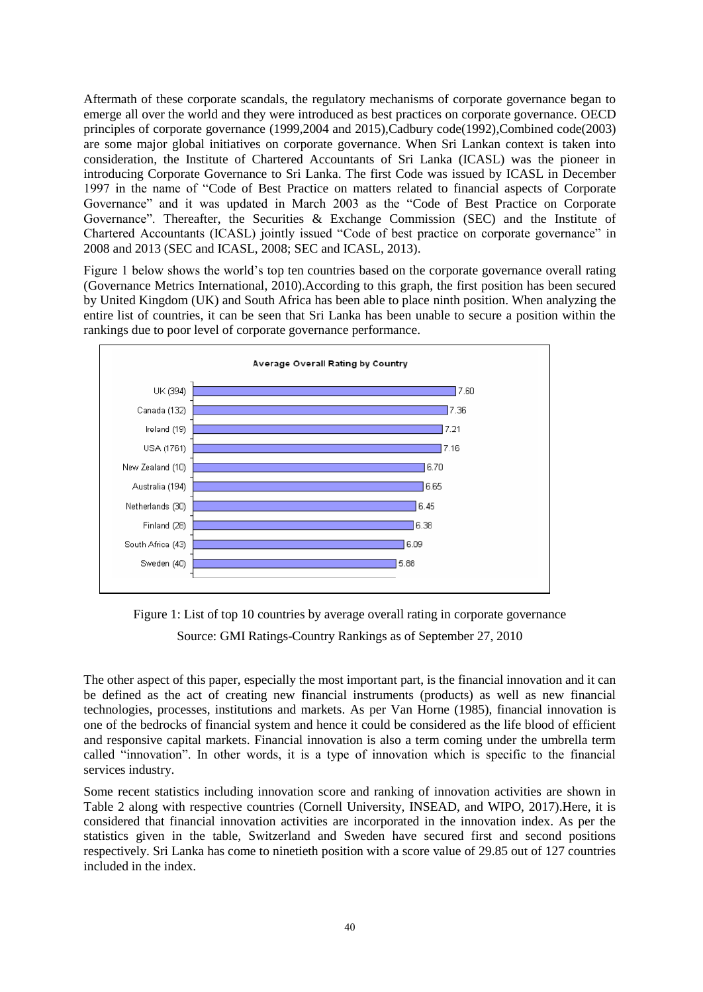Aftermath of these corporate scandals, the regulatory mechanisms of corporate governance began to emerge all over the world and they were introduced as best practices on corporate governance. OECD principles of corporate governance (1999,2004 and 2015),Cadbury code(1992),Combined code(2003) are some major global initiatives on corporate governance. When Sri Lankan context is taken into consideration, the Institute of Chartered Accountants of Sri Lanka (ICASL) was the pioneer in introducing Corporate Governance to Sri Lanka. The first Code was issued by ICASL in December 1997 in the name of "Code of Best Practice on matters related to financial aspects of Corporate Governance" and it was updated in March 2003 as the "Code of Best Practice on Corporate Governance". Thereafter, the Securities & Exchange Commission (SEC) and the Institute of Chartered Accountants (ICASL) jointly issued "Code of best practice on corporate governance" in 2008 and 2013 (SEC and ICASL, 2008; SEC and ICASL, 2013).

Figure 1 below shows the world's top ten countries based on the corporate governance overall rating (Governance [Metrics International,](https://web.archive.org/web/20110125201141/http:/www.gmiratings.com/Images/GMI_Country_Rankings_as_of_10_27_2010.pdf) 2010).According to this graph, the first position has been secured by United Kingdom (UK) and South Africa has been able to place ninth position. When analyzing the entire list of countries, it can be seen that Sri Lanka has been unable to secure a position within the rankings due to poor level of corporate governance performance.



Figure 1: List of top 10 countries by average overall rating in [corporate governance](https://en.wikipedia.org/wiki/Corporate_governance)

Source: [GMI Ratings-Country Rankings as of September 27, 2010](https://web.archive.org/web/20110125201141/http:/www.gmiratings.com/Images/GMI_Country_Rankings_as_of_10_27_2010.pdf)

The other aspect of this paper, especially the most important part, is the financial innovation and it can be defined as the act of creating new financial instruments (products) as well as new financial technologies, processes, institutions and markets. As per Van Horne (1985), financial innovation is one of the bedrocks of financial system and hence it could be considered as the life blood of efficient and responsive capital markets. Financial innovation is also a term coming under the umbrella term called "innovation". In other words, it is a type of innovation which is specific to the financial services industry.

Some recent statistics including innovation score and ranking of innovation activities are shown in Table 2 along with respective countries (Cornell University, INSEAD, and WIPO, 2017).Here, it is considered that financial innovation activities are incorporated in the innovation index. As per the statistics given in the table, Switzerland and Sweden have secured first and second positions respectively. Sri Lanka has come to ninetieth position with a score value of 29.85 out of 127 countries included in the index.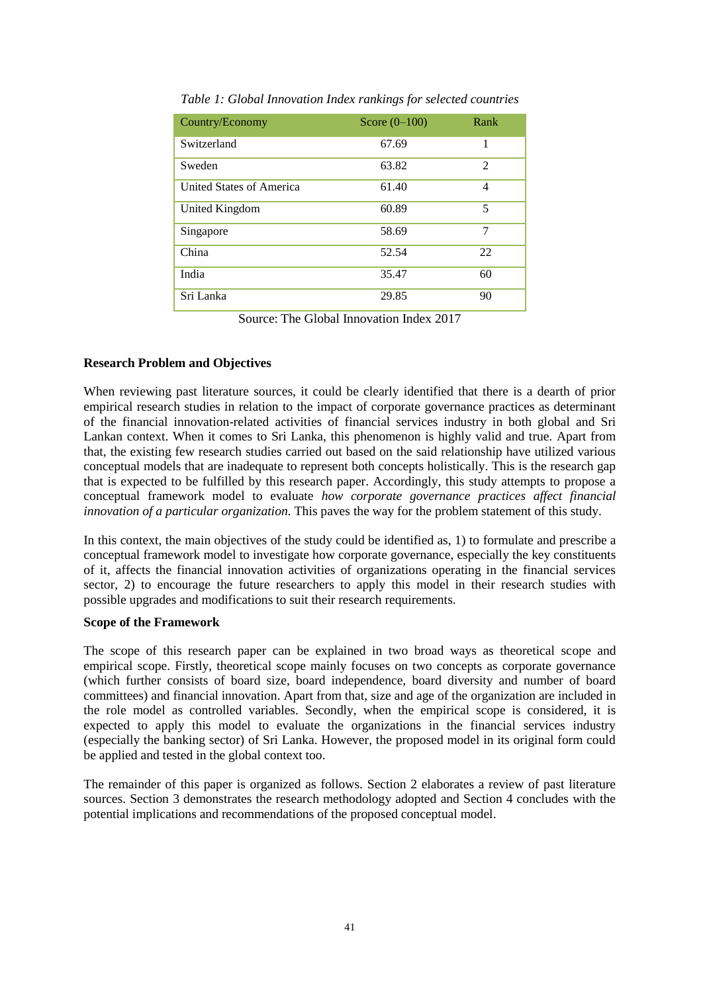| Country/Economy          | Score $(0-100)$ | Rank |
|--------------------------|-----------------|------|
| Switzerland              | 67.69           | 1    |
| Sweden                   | 63.82           | 2    |
| United States of America | 61.40           | 4    |
| United Kingdom           | 60.89           | 5    |
| Singapore                | 58.69           | 7    |
| China                    | 52.54           | 22   |
| India                    | 35.47           | 60   |
| Sri Lanka                | 29.85           | 90   |

*Table 1: Global Innovation Index rankings for selected countries*

Source: The Global Innovation Index 2017

### **Research Problem and Objectives**

When reviewing past literature sources, it could be clearly identified that there is a dearth of prior empirical research studies in relation to the impact of corporate governance practices as determinant of the financial innovation-related activities of financial services industry in both global and Sri Lankan context. When it comes to Sri Lanka, this phenomenon is highly valid and true. Apart from that, the existing few research studies carried out based on the said relationship have utilized various conceptual models that are inadequate to represent both concepts holistically. This is the research gap that is expected to be fulfilled by this research paper. Accordingly, this study attempts to propose a conceptual framework model to evaluate *how corporate governance practices affect financial innovation of a particular organization.* This paves the way for the problem statement of this study.

In this context, the main objectives of the study could be identified as, 1) to formulate and prescribe a conceptual framework model to investigate how corporate governance, especially the key constituents of it, affects the financial innovation activities of organizations operating in the financial services sector, 2) to encourage the future researchers to apply this model in their research studies with possible upgrades and modifications to suit their research requirements.

### **Scope of the Framework**

The scope of this research paper can be explained in two broad ways as theoretical scope and empirical scope. Firstly, theoretical scope mainly focuses on two concepts as corporate governance (which further consists of board size, board independence, board diversity and number of board committees) and financial innovation. Apart from that, size and age of the organization are included in the role model as controlled variables. Secondly, when the empirical scope is considered, it is expected to apply this model to evaluate the organizations in the financial services industry (especially the banking sector) of Sri Lanka. However, the proposed model in its original form could be applied and tested in the global context too.

The remainder of this paper is organized as follows. Section 2 elaborates a review of past literature sources. Section 3 demonstrates the research methodology adopted and Section 4 concludes with the potential implications and recommendations of the proposed conceptual model.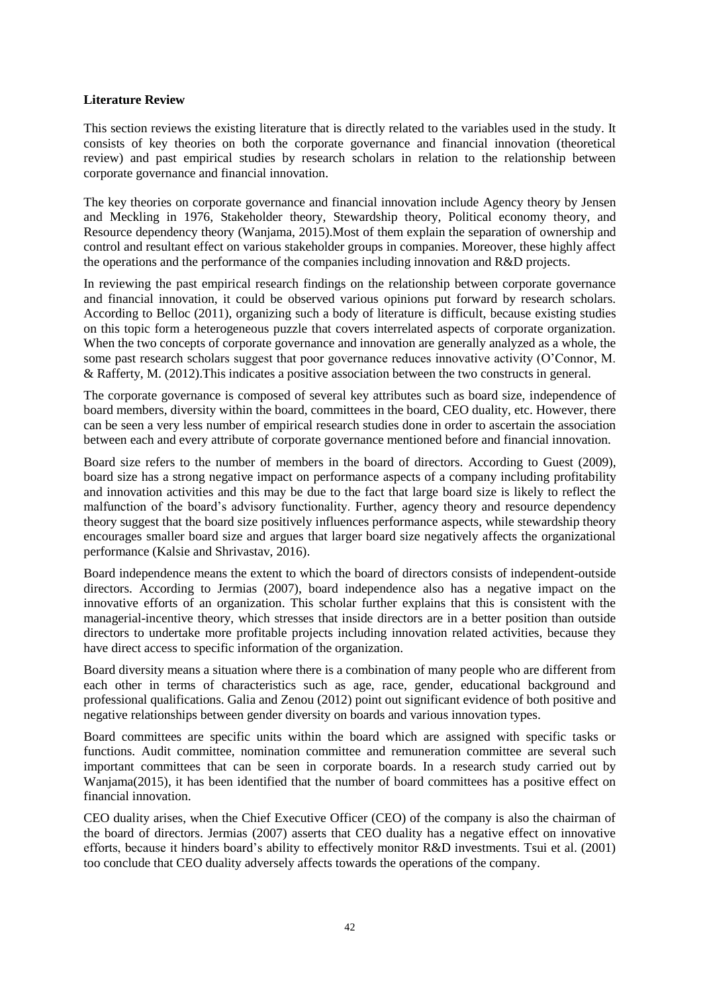#### **Literature Review**

This section reviews the existing literature that is directly related to the variables used in the study. It consists of key theories on both the corporate governance and financial innovation (theoretical review) and past empirical studies by research scholars in relation to the relationship between corporate governance and financial innovation.

The key theories on corporate governance and financial innovation include Agency theory by Jensen and Meckling in 1976, Stakeholder theory, Stewardship theory, Political economy theory, and Resource dependency theory (Wanjama, 2015).Most of them explain the separation of ownership and control and resultant effect on various stakeholder groups in companies. Moreover, these highly affect the operations and the performance of the companies including innovation and R&D projects.

In reviewing the past empirical research findings on the relationship between corporate governance and financial innovation, it could be observed various opinions put forward by research scholars. According to Belloc (2011), organizing such a body of literature is difficult, because existing studies on this topic form a heterogeneous puzzle that covers interrelated aspects of corporate organization. When the two concepts of corporate governance and innovation are generally analyzed as a whole, the some past research scholars suggest that poor governance reduces innovative activity (O'Connor, M. & Rafferty, M. (2012).This indicates a positive association between the two constructs in general.

The corporate governance is composed of several key attributes such as board size, independence of board members, diversity within the board, committees in the board, CEO duality, etc. However, there can be seen a very less number of empirical research studies done in order to ascertain the association between each and every attribute of corporate governance mentioned before and financial innovation.

Board size refers to the number of members in the board of directors. According to Guest (2009), board size has a strong negative impact on performance aspects of a company including profitability and innovation activities and this may be due to the fact that large board size is likely to reflect the malfunction of the board's advisory functionality. Further, agency theory and resource dependency theory suggest that the board size positively influences performance aspects, while stewardship theory encourages smaller board size and argues that larger board size negatively affects the organizational performance (Kalsie and Shrivastav, 2016).

Board independence means the extent to which the board of directors consists of independent-outside directors. According to Jermias (2007), board independence also has a negative impact on the innovative efforts of an organization. This scholar further explains that this is consistent with the managerial-incentive theory, which stresses that inside directors are in a better position than outside directors to undertake more profitable projects including innovation related activities, because they have direct access to specific information of the organization.

Board diversity means a situation where there is a combination of many people who are different from each other in terms of characteristics such as age, race, gender, educational background and professional qualifications. Galia and Zenou (2012) point out significant evidence of both positive and negative relationships between gender diversity on boards and various innovation types.

Board committees are specific units within the board which are assigned with specific tasks or functions. Audit committee, nomination committee and remuneration committee are several such important committees that can be seen in corporate boards. In a research study carried out by Wanjama(2015), it has been identified that the number of board committees has a positive effect on financial innovation.

CEO duality arises, when the Chief Executive Officer (CEO) of the company is also the chairman of the board of directors. Jermias (2007) asserts that CEO duality has a negative effect on innovative efforts, because it hinders board's ability to effectively monitor R&D investments. Tsui et al. (2001) too conclude that CEO duality adversely affects towards the operations of the company.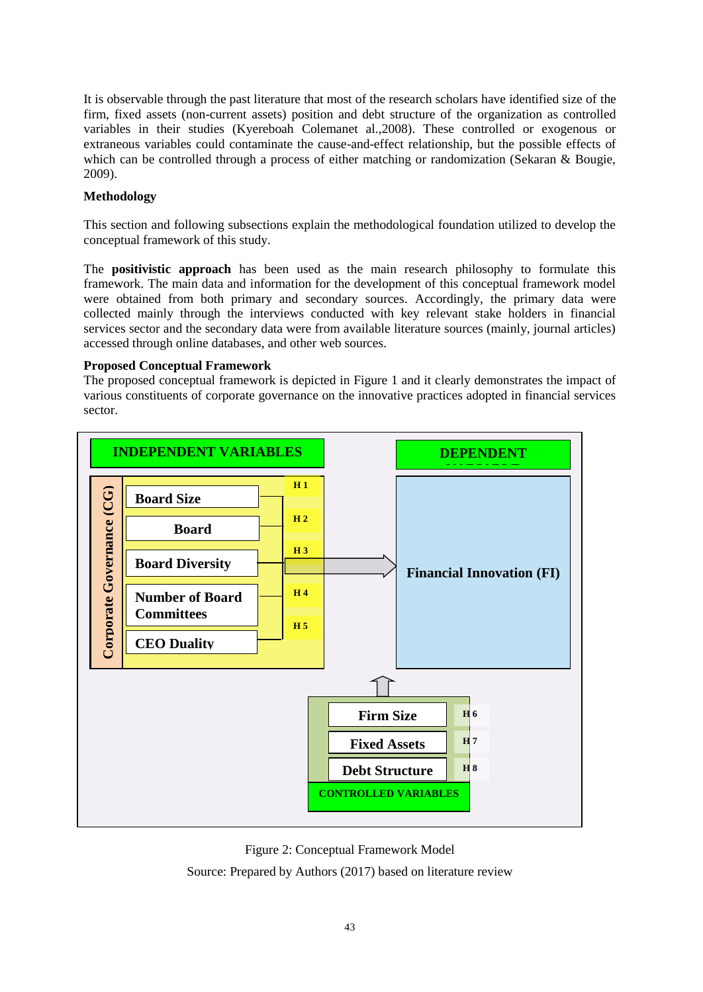It is observable through the past literature that most of the research scholars have identified size of the firm, fixed assets (non-current assets) position and debt structure of the organization as controlled variables in their studies (Kyereboah Colemanet al.,2008). These controlled or exogenous or extraneous variables could contaminate the cause-and-effect relationship, but the possible effects of which can be controlled through a process of either matching or randomization (Sekaran & Bougie, 2009).

## **Methodology**

This section and following subsections explain the methodological foundation utilized to develop the conceptual framework of this study.

The **positivistic approach** has been used as the main research philosophy to formulate this framework. The main data and information for the development of this conceptual framework model were obtained from both primary and secondary sources. Accordingly, the primary data were collected mainly through the interviews conducted with key relevant stake holders in financial services sector and the secondary data were from available literature sources (mainly, journal articles) accessed through online databases, and other web sources.

### **Proposed Conceptual Framework**

The proposed conceptual framework is depicted in Figure 1 and it clearly demonstrates the impact of various constituents of corporate governance on the innovative practices adopted in financial services sector.



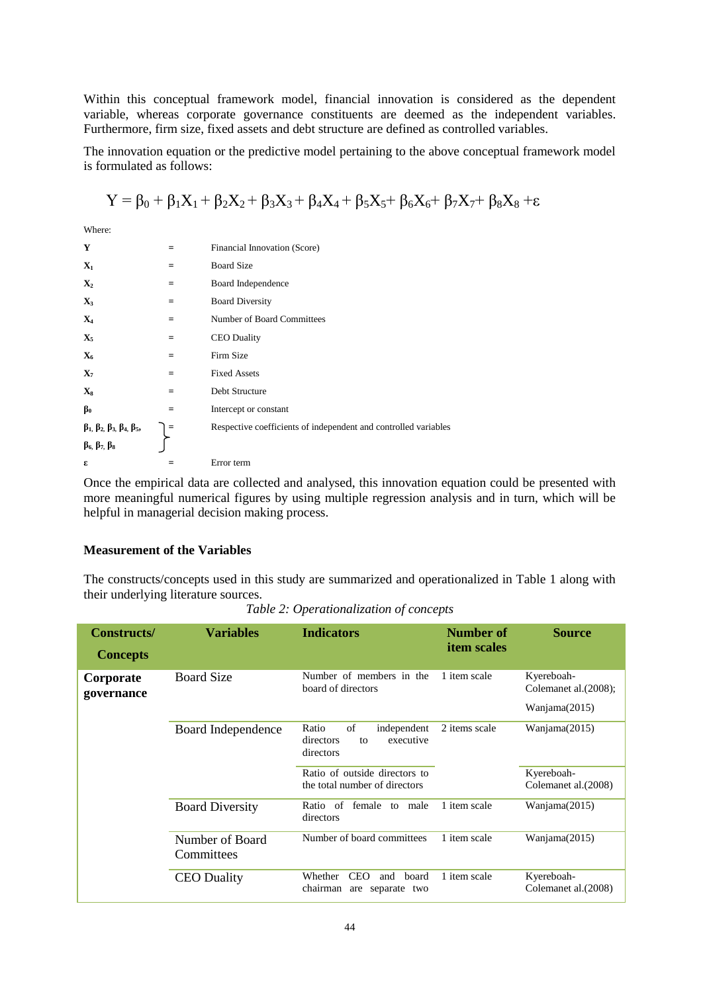Within this conceptual framework model, financial innovation is considered as the dependent variable, whereas corporate governance constituents are deemed as the independent variables. Furthermore, firm size, fixed assets and debt structure are defined as controlled variables.

The innovation equation or the predictive model pertaining to the above conceptual framework model is formulated as follows:

$$
Y = \beta_0 + \beta_1 X_1 + \beta_2 X_2 + \beta_3 X_3 + \beta_4 X_4 + \beta_5 X_5 + \beta_6 X_6 + \beta_7 X_7 + \beta_8 X_8 + \epsilon
$$

Where:

| Y                                                                                                |     | Financial Innovation (Score)                                    |
|--------------------------------------------------------------------------------------------------|-----|-----------------------------------------------------------------|
| $\mathbf{X}_1$                                                                                   | $=$ | <b>Board Size</b>                                               |
| $\mathbf{X}_2$                                                                                   | $=$ | Board Independence                                              |
| $\mathbf{X}_3$                                                                                   | $=$ | <b>Board Diversity</b>                                          |
| $\mathbf{X}_4$                                                                                   | $=$ | Number of Board Committees                                      |
| $\mathbf{X}_5$                                                                                   | $=$ | <b>CEO</b> Duality                                              |
| $X_6$                                                                                            | $=$ | Firm Size                                                       |
| $\mathbf{X}_7$                                                                                   | $=$ | <b>Fixed Assets</b>                                             |
| $\mathbf{X}_8$                                                                                   | $=$ | Debt Structure                                                  |
| $\beta_0$                                                                                        | $=$ | Intercept or constant                                           |
|                                                                                                  |     | Respective coefficients of independent and controlled variables |
| $\beta_1$ , $\beta_2$ , $\beta_3$ , $\beta_4$ , $\beta_5$ ,<br>$\beta_6$ , $\beta_7$ , $\beta_8$ |     |                                                                 |
| ε                                                                                                |     | Error term                                                      |

Once the empirical data are collected and analysed, this innovation equation could be presented with more meaningful numerical figures by using multiple regression analysis and in turn, which will be helpful in managerial decision making process.

## **Measurement of the Variables**

The constructs/concepts used in this study are summarized and operationalized in Table 1 along with their underlying literature sources.

*Table 2: Operationalization of concepts*

| <b>Constructs/</b><br><b>Concepts</b> | <b>Variables</b>              | <b>Indicators</b>                                                        | Number of<br><i>item scales</i> | <b>Source</b>                                        |
|---------------------------------------|-------------------------------|--------------------------------------------------------------------------|---------------------------------|------------------------------------------------------|
| Corporate<br>governance               | <b>Board Size</b>             | Number of members in the<br>board of directors                           | 1 item scale                    | Kyereboah-<br>Colemanet al. (2008);<br>Wanjama(2015) |
|                                       | Board Independence            | of<br>independent<br>Ratio<br>directors<br>executive<br>to<br>directors  | 2 items scale                   | Wanjama(2015)                                        |
|                                       |                               | Ratio of outside directors to<br>the total number of directors           |                                 | Kyereboah-<br>Colemanet al.(2008)                    |
|                                       | <b>Board Diversity</b>        | Ratio of female<br>to male<br>directors                                  | 1 item scale                    | Wanjama(2015)                                        |
|                                       | Number of Board<br>Committees | Number of board committees                                               | 1 item scale                    | Wanjama(2015)                                        |
|                                       | <b>CEO</b> Duality            | Whether<br><b>CEO</b><br>and<br>board<br>chairman<br>separate two<br>are | 1 item scale                    | Kyereboah-<br>Colemanet al. (2008)                   |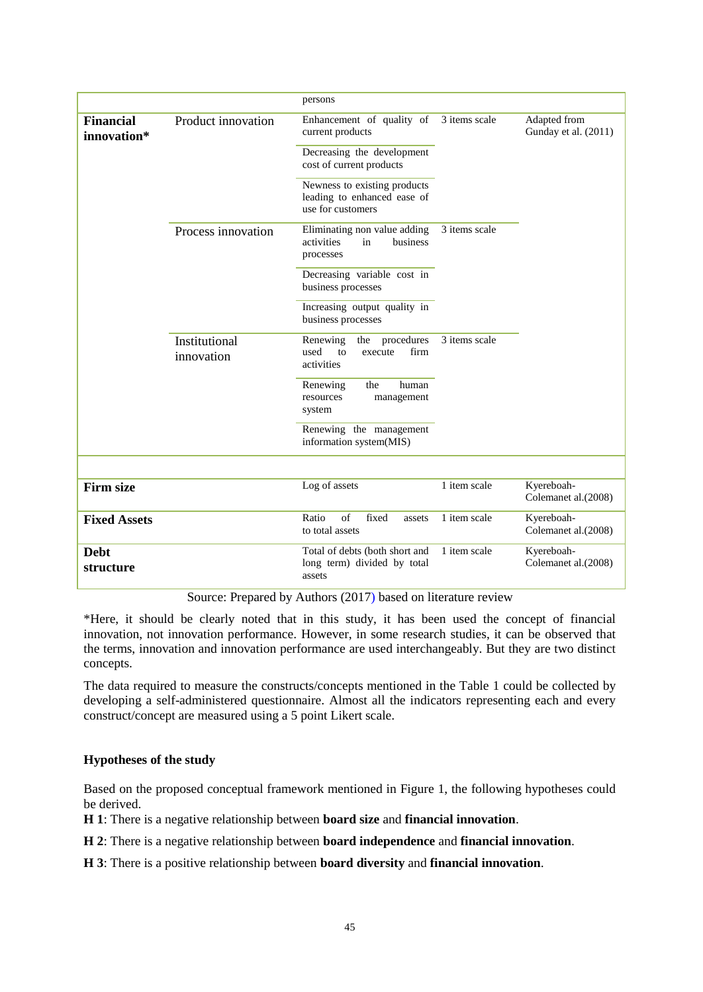|                                 |                             | persons                                                                          |               |                                      |
|---------------------------------|-----------------------------|----------------------------------------------------------------------------------|---------------|--------------------------------------|
| <b>Financial</b><br>innovation* | Product innovation          | Enhancement of quality of<br>current products                                    | 3 items scale | Adapted from<br>Gunday et al. (2011) |
|                                 |                             | Decreasing the development<br>cost of current products                           |               |                                      |
|                                 |                             | Newness to existing products<br>leading to enhanced ease of<br>use for customers |               |                                      |
|                                 | Process innovation          | Eliminating non value adding<br>activities<br>in<br>business<br>processes        | 3 items scale |                                      |
|                                 |                             | Decreasing variable cost in<br>business processes                                |               |                                      |
|                                 |                             | Increasing output quality in<br>business processes                               |               |                                      |
|                                 | Institutional<br>innovation | procedures<br>Renewing<br>the<br>firm<br>used<br>to<br>execute<br>activities     | 3 items scale |                                      |
|                                 |                             | human<br>the<br>Renewing<br>resources<br>management<br>system                    |               |                                      |
|                                 |                             | Renewing the management<br>information system(MIS)                               |               |                                      |
|                                 |                             |                                                                                  |               |                                      |
| <b>Firm size</b>                |                             | Log of assets                                                                    | 1 item scale  | Kyereboah-<br>Colemanet al.(2008)    |
| <b>Fixed Assets</b>             |                             | $\sigma$ f<br>fixed<br>Ratio<br>assets<br>to total assets                        | 1 item scale  | Kyereboah-<br>Colemanet al.(2008)    |
| <b>Debt</b><br>structure        |                             | Total of debts (both short and<br>long term) divided by total<br>assets          | 1 item scale  | Kyereboah-<br>Colemanet al.(2008)    |

Source: Prepared by Authors (2017) based on literature review

\*Here, it should be clearly noted that in this study, it has been used the concept of financial innovation, not innovation performance. However, in some research studies, it can be observed that the terms, innovation and innovation performance are used interchangeably. But they are two distinct concepts.

The data required to measure the constructs/concepts mentioned in the Table 1 could be collected by developing a self-administered questionnaire. Almost all the indicators representing each and every construct/concept are measured using a 5 point Likert scale.

# **Hypotheses of the study**

Based on the proposed conceptual framework mentioned in Figure 1, the following hypotheses could be derived.

**H 1**: There is a negative relationship between **board size** and **financial innovation**.

**H 2**: There is a negative relationship between **board independence** and **financial innovation**.

**H 3**: There is a positive relationship between **board diversity** and **financial innovation**.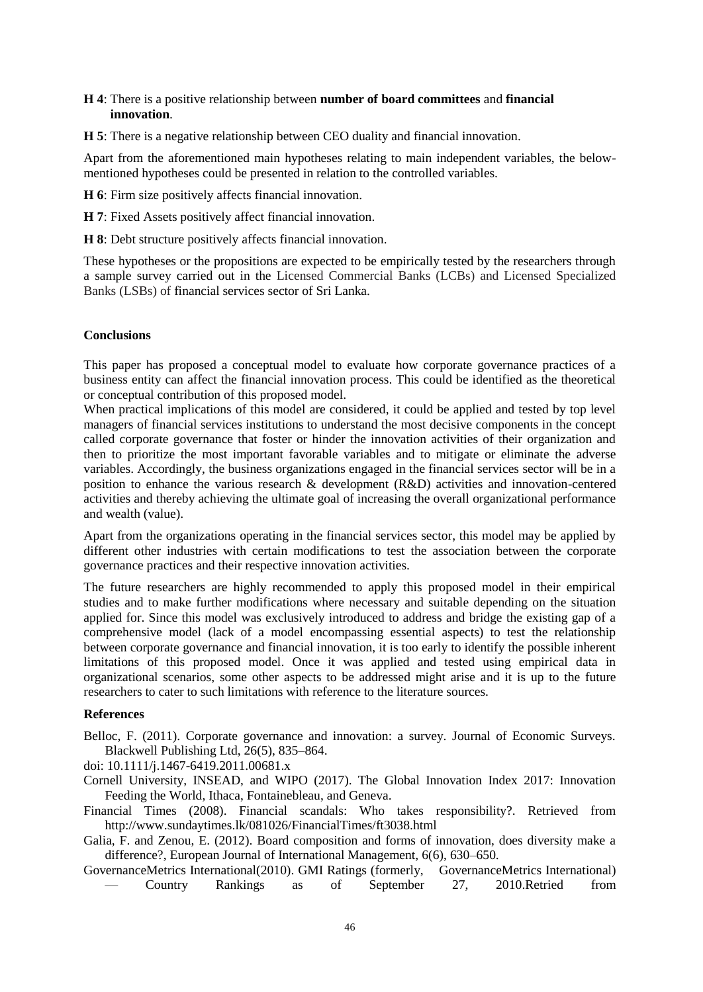### **H 4**: There is a positive relationship between **number of board committees** and **financial innovation**.

**H 5**: There is a negative relationship between CEO duality and financial innovation.

Apart from the aforementioned main hypotheses relating to main independent variables, the belowmentioned hypotheses could be presented in relation to the controlled variables.

**H 6**: Firm size positively affects financial innovation.

**H 7**: Fixed Assets positively affect financial innovation.

**H 8**: Debt structure positively affects financial innovation.

These hypotheses or the propositions are expected to be empirically tested by the researchers through a sample survey carried out in the Licensed Commercial Banks (LCBs) and Licensed Specialized Banks (LSBs) of financial services sector of Sri Lanka.

#### **Conclusions**

This paper has proposed a conceptual model to evaluate how corporate governance practices of a business entity can affect the financial innovation process. This could be identified as the theoretical or conceptual contribution of this proposed model.

When practical implications of this model are considered, it could be applied and tested by top level managers of financial services institutions to understand the most decisive components in the concept called corporate governance that foster or hinder the innovation activities of their organization and then to prioritize the most important favorable variables and to mitigate or eliminate the adverse variables. Accordingly, the business organizations engaged in the financial services sector will be in a position to enhance the various research & development (R&D) activities and innovation-centered activities and thereby achieving the ultimate goal of increasing the overall organizational performance and wealth (value).

Apart from the organizations operating in the financial services sector, this model may be applied by different other industries with certain modifications to test the association between the corporate governance practices and their respective innovation activities.

The future researchers are highly recommended to apply this proposed model in their empirical studies and to make further modifications where necessary and suitable depending on the situation applied for. Since this model was exclusively introduced to address and bridge the existing gap of a comprehensive model (lack of a model encompassing essential aspects) to test the relationship between corporate governance and financial innovation, it is too early to identify the possible inherent limitations of this proposed model. Once it was applied and tested using empirical data in organizational scenarios, some other aspects to be addressed might arise and it is up to the future researchers to cater to such limitations with reference to the literature sources.

#### **References**

Belloc, F. (2011). Corporate governance and innovation: a survey. Journal of Economic Surveys. Blackwell Publishing Ltd, 26(5), 835–864.

doi: 10.1111/j.1467-6419.2011.00681.x

Cornell University, INSEAD, and WIPO (2017). The Global Innovation Index 2017: Innovation Feeding the World, Ithaca, Fontainebleau, and Geneva.

Financial Times (2008). Financial scandals: Who takes responsibility?. Retrieved from <http://www.sundaytimes.lk/081026/FinancialTimes/ft3038.html>

Galia, F. and Zenou, E. (2012). Board composition and forms of innovation, does diversity make a difference?, European Journal of International Management, 6(6), 630–650.

[GovernanceMetrics International\(](https://web.archive.org/web/20110125201141/http:/www.gmiratings.com/Images/GMI_Country_Rankings_as_of_10_27_2010.pdf)2010). [GMI Ratings \(formerly, GovernanceMetrics International\)](https://web.archive.org/web/20110125201141/http:/www.gmiratings.com/Images/GMI_Country_Rankings_as_of_10_27_2010.pdf)  — [Country Rankings as of September 27, 2010.](https://web.archive.org/web/20110125201141/http:/www.gmiratings.com/Images/GMI_Country_Rankings_as_of_10_27_2010.pdf)Retried from